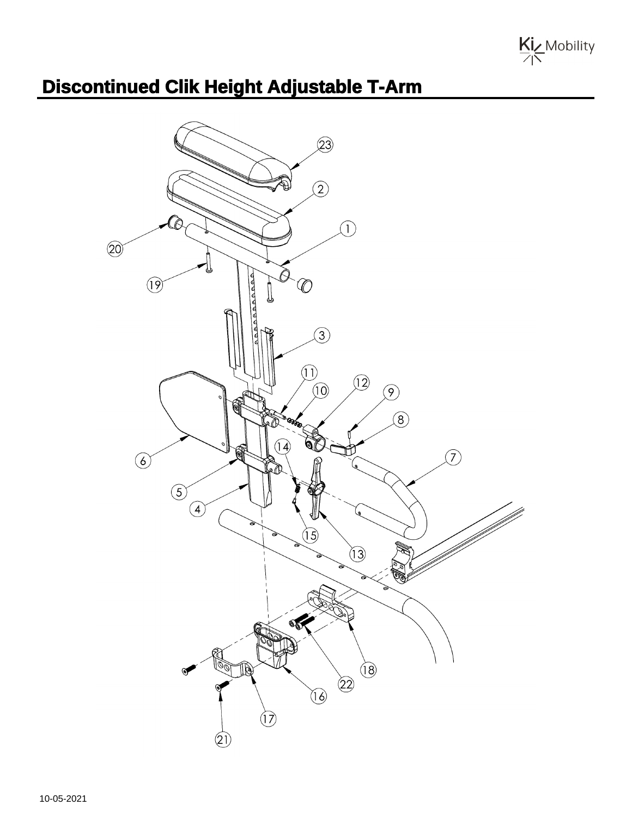

## **Discontinued Clik Height Adjustable T-Arm**

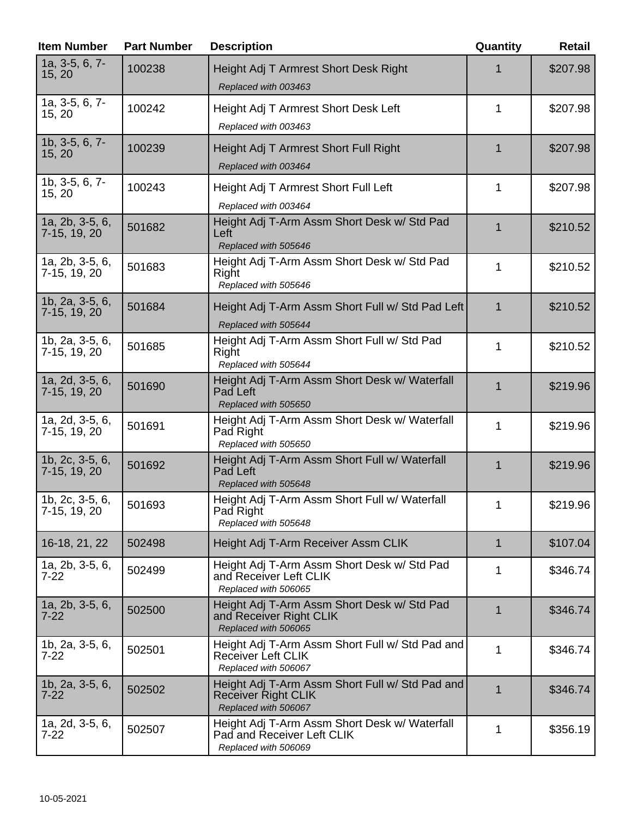| <b>Item Number</b>                   | <b>Part Number</b> | <b>Description</b>                                                                                    | Quantity     | Retail   |
|--------------------------------------|--------------------|-------------------------------------------------------------------------------------------------------|--------------|----------|
| 1a, 3-5, 6, 7-<br>15, 20             | 100238             | Height Adj T Armrest Short Desk Right<br>Replaced with 003463                                         |              | \$207.98 |
| 1a, 3-5, 6, 7-<br>15, 20             | 100242             | Height Adj T Armrest Short Desk Left<br>Replaced with 003463                                          | 1            | \$207.98 |
| 1b, 3-5, 6, 7-<br>15, 20             | 100239             | Height Adj T Armrest Short Full Right<br>Replaced with 003464                                         | 1            | \$207.98 |
| 1b, 3-5, 6, 7-<br>15, 20             | 100243             | Height Adj T Armrest Short Full Left<br>Replaced with 003464                                          | 1            | \$207.98 |
| 1a, 2b, 3-5, 6,<br>7-15, 19, 20      | 501682             | Height Adj T-Arm Assm Short Desk w/ Std Pad<br>Left<br>Replaced with 505646                           | $\mathbf 1$  | \$210.52 |
| 1a, 2b, 3-5, 6,<br>7-15, 19, 20      | 501683             | Height Adj T-Arm Assm Short Desk w/ Std Pad<br>Right<br>Replaced with 505646                          | 1            | \$210.52 |
| 1b, 2a, 3-5, 6,<br>7-15, 19, 20      | 501684             | Height Adj T-Arm Assm Short Full w/ Std Pad Left<br>Replaced with 505644                              | $\mathbf 1$  | \$210.52 |
| 1b, 2a, 3-5, 6,<br>7-15, 19, 20      | 501685             | Height Adj T-Arm Assm Short Full w/ Std Pad<br>Right<br>Replaced with 505644                          | 1            | \$210.52 |
| 1a, 2d, 3-5, 6,<br>7-15, 19, 20      | 501690             | Height Adj T-Arm Assm Short Desk w/ Waterfall<br>Pad Left<br>Replaced with 505650                     | $\mathbf{1}$ | \$219.96 |
| 1a, 2d, 3-5, 6,<br>7-15, 19, 20      | 501691             | Height Adj T-Arm Assm Short Desk w/ Waterfall<br>Pad Right<br>Replaced with 505650                    | 1            | \$219.96 |
| 1b, 2c, 3-5, 6,<br>7-15, 19, 20      | 501692             | Height Adj T-Arm Assm Short Full w/ Waterfall<br>Pad Left<br>Replaced with 505648                     | $\mathbf{1}$ | \$219.96 |
| 1b, 2c, 3-5, 6,<br>7-15, 19, 20      | 501693             | Height Adj T-Arm Assm Short Full w/ Waterfall<br>Pad Right<br>Replaced with 505648                    | 1            | \$219.96 |
| 16-18, 21, 22                        | 502498             | Height Adj T-Arm Receiver Assm CLIK                                                                   | $\mathbf{1}$ | \$107.04 |
| 1a, 2b, 3-5, 6,<br>7-22              | 502499             | Height Adj T-Arm Assm Short Desk w/ Std Pad<br>and Receiver Left CLIK<br>Replaced with 506065         | 1            | \$346.74 |
| 1a, $2b$ , $3-5$ , $6$ ,<br>$7 - 22$ | 502500             | Height Adj T-Arm Assm Short Desk w/ Std Pad<br>and Receiver Right CLIK<br>Replaced with 506065        | 1            | \$346.74 |
| 1b, $2a$ , $3-5$ , $6$ ,<br>$7 - 22$ | 502501             | Height Adj T-Arm Assm Short Full w/ Std Pad and<br><b>Receiver Left CLIK</b><br>Replaced with 506067  | 1            | \$346.74 |
| 1b, 2a, 3-5, 6,<br>$7 - 22$          | 502502             | Height Adj T-Arm Assm Short Full w/ Std Pad and<br><b>Receiver Right CLIK</b><br>Replaced with 506067 | $\mathbf{1}$ | \$346.74 |
| 1a, 2d, 3-5, 6,<br>$7-22$            | 502507             | Height Adj T-Arm Assm Short Desk w/ Waterfall<br>Pad and Receiver Left CLIK<br>Replaced with 506069   | 1            | \$356.19 |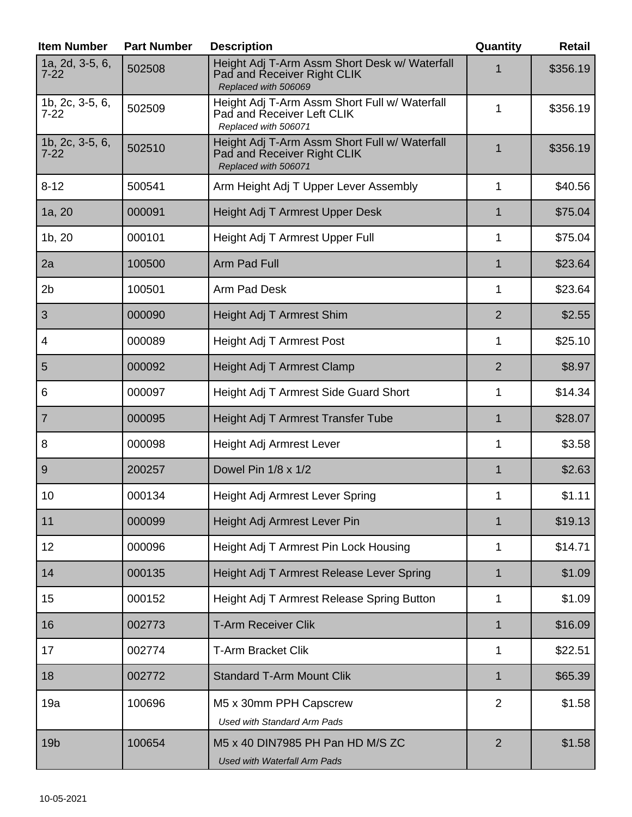| <b>Item Number</b>          | <b>Part Number</b> | <b>Description</b>                                                                                   | Quantity       | <b>Retail</b> |
|-----------------------------|--------------------|------------------------------------------------------------------------------------------------------|----------------|---------------|
| 1a, 2d, 3-5, 6,<br>$7 - 22$ | 502508             | Height Adj T-Arm Assm Short Desk w/ Waterfall<br>Pad and Receiver Right CLIK<br>Replaced with 506069 |                | \$356.19      |
| 1b, 2c, 3-5, 6,<br>$7 - 22$ | 502509             | Height Adj T-Arm Assm Short Full w/ Waterfall<br>Pad and Receiver Left CLIK<br>Replaced with 506071  | $\mathbf{1}$   | \$356.19      |
| 1b, 2c, 3-5, 6,<br>$7 - 22$ | 502510             | Height Adj T-Arm Assm Short Full w/ Waterfall<br>Pad and Receiver Right CLIK<br>Replaced with 506071 | 1              | \$356.19      |
| $8 - 12$                    | 500541             | Arm Height Adj T Upper Lever Assembly                                                                | $\mathbf{1}$   | \$40.56       |
| 1a, 20                      | 000091             | Height Adj T Armrest Upper Desk                                                                      | $\mathbf{1}$   | \$75.04       |
| 1b, 20                      | 000101             | Height Adj T Armrest Upper Full                                                                      | 1              | \$75.04       |
| 2a                          | 100500             | Arm Pad Full                                                                                         | 1              | \$23.64       |
| 2 <sub>b</sub>              | 100501             | Arm Pad Desk                                                                                         | 1              | \$23.64       |
| 3                           | 000090             | Height Adj T Armrest Shim                                                                            | $\overline{2}$ | \$2.55        |
| 4                           | 000089             | Height Adj T Armrest Post                                                                            | 1              | \$25.10       |
| 5                           | 000092             | Height Adj T Armrest Clamp                                                                           | $\overline{2}$ | \$8.97        |
| 6                           | 000097             | Height Adj T Armrest Side Guard Short                                                                | 1              | \$14.34       |
| $\overline{7}$              | 000095             | Height Adj T Armrest Transfer Tube                                                                   | 1              | \$28.07       |
| 8                           | 000098             | Height Adj Armrest Lever                                                                             | 1              | \$3.58        |
| 9                           | 200257             | Dowel Pin 1/8 x 1/2                                                                                  | $\mathbf{1}$   | \$2.63        |
| 10                          | 000134             | Height Adj Armrest Lever Spring                                                                      | 1              | \$1.11        |
| 11                          | 000099             | Height Adj Armrest Lever Pin                                                                         | $\mathbf{1}$   | \$19.13       |
| 12                          | 000096             | Height Adj T Armrest Pin Lock Housing                                                                | 1              | \$14.71       |
| 14                          | 000135             | Height Adj T Armrest Release Lever Spring                                                            | 1              | \$1.09        |
| 15                          | 000152             | Height Adj T Armrest Release Spring Button                                                           | 1              | \$1.09        |
| 16                          | 002773             | <b>T-Arm Receiver Clik</b>                                                                           | $\mathbf{1}$   | \$16.09       |
| 17                          | 002774             | <b>T-Arm Bracket Clik</b>                                                                            | $\mathbf{1}$   | \$22.51       |
| 18                          | 002772             | <b>Standard T-Arm Mount Clik</b>                                                                     | $\mathbf{1}$   | \$65.39       |
| 19a                         | 100696             | M5 x 30mm PPH Capscrew<br><b>Used with Standard Arm Pads</b>                                         | $\overline{2}$ | \$1.58        |
| 19 <sub>b</sub>             | 100654             | M5 x 40 DIN7985 PH Pan HD M/S ZC<br><b>Used with Waterfall Arm Pads</b>                              | $\overline{2}$ | \$1.58        |